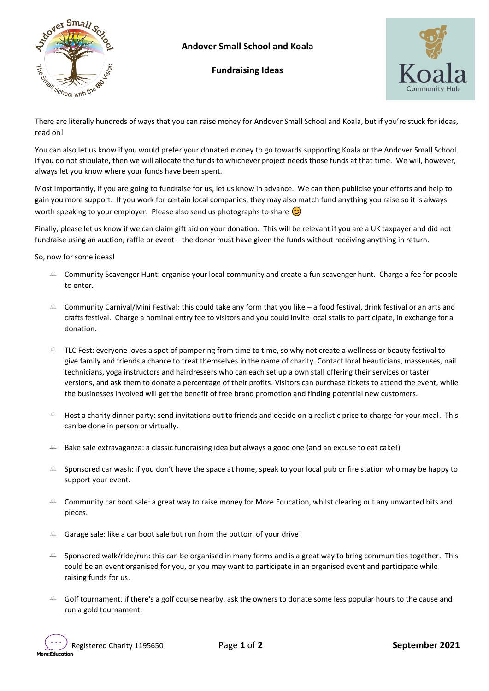

## **Andover Small School and Koala**

**Fundraising Ideas**



There are literally hundreds of ways that you can raise money for Andover Small School and Koala, but if you're stuck for ideas, read on!

You can also let us know if you would prefer your donated money to go towards supporting Koala or the Andover Small School. If you do not stipulate, then we will allocate the funds to whichever project needs those funds at that time. We will, however, always let you know where your funds have been spent.

Most importantly, if you are going to fundraise for us, let us know in advance. We can then publicise your efforts and help to gain you more support. If you work for certain local companies, they may also match fund anything you raise so it is always worth speaking to your employer. Please also send us photographs to share  $\odot$ 

Finally, please let us know if we can claim gift aid on your donation. This will be relevant if you are a UK taxpayer and did not fundraise using an auction, raffle or event – the donor must have given the funds without receiving anything in return.

So, now for some ideas!

- $\degree$  Community Scavenger Hunt: organise your local community and create a fun scavenger hunt. Charge a fee for people to enter.
- $\degree$  Community Carnival/Mini Festival: this could take any form that you like a food festival, drink festival or an arts and crafts festival. Charge a nominal entry fee to visitors and you could invite local stalls to participate, in exchange for a donation.
- $\Omega$  TLC Fest: everyone loves a spot of pampering from time to time, so why not create a wellness or beauty festival to give family and friends a chance to treat themselves in the name of charity. Contact local beauticians, masseuses, nail technicians, yoga instructors and hairdressers who can each set up a own stall offering their services or taster versions, and ask them to donate a percentage of their profits. Visitors can purchase tickets to attend the event, while the businesses involved will get the benefit of free brand promotion and finding potential new customers.
- $\triangle$  Host a charity dinner party: send invitations out to friends and decide on a realistic price to charge for your meal. This can be done in person or virtually.
- Bake sale extravaganza: a classic fundraising idea but always a good one (and an excuse to eat cake!)
- Sponsored car wash: if you don't have the space at home, speak to your local pub or fire station who may be happy to support your event.
- Community car boot sale: a great way to raise money for More Education, whilst clearing out any unwanted bits and pieces.
- $\triangle$  Garage sale: like a car boot sale but run from the bottom of your drive!
- $\Omega$ Sponsored walk/ride/run: this can be organised in many forms and is a great way to bring communities together. This could be an event organised for you, or you may want to participate in an organised event and participate while raising funds for us.
- $\degree$  Golf tournament. if there's a golf course nearby, ask the owners to donate some less popular hours to the cause and run a gold tournament.